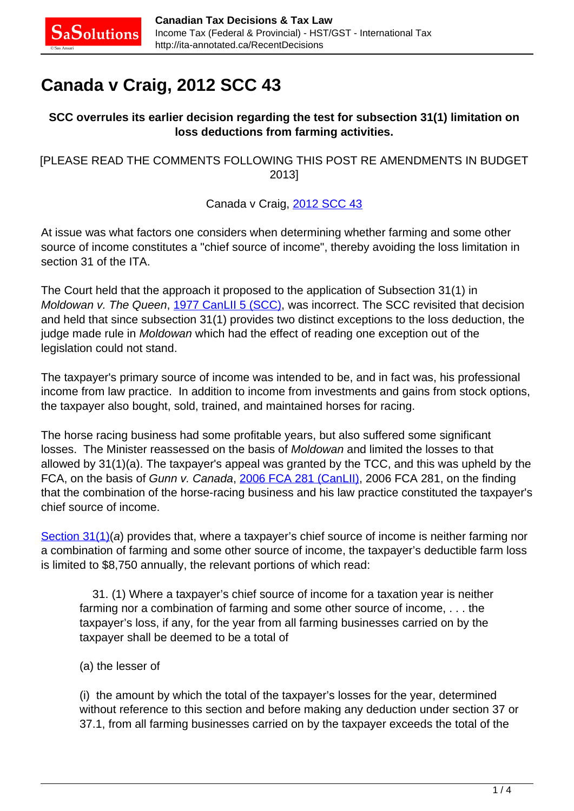# **Canada v Craig, 2012 SCC 43**

# **SCC overrules its earlier decision regarding the test for subsection 31(1) limitation on loss deductions from farming activities.**

## [PLEASE READ THE COMMENTS FOLLOWING THIS POST RE AMENDMENTS IN BUDGET 2013]

Canada v Craig, [2012 SCC 43](http://canlii.ca/t/fs6sb)

At issue was what factors one considers when determining whether farming and some other source of income constitutes a "chief source of income", thereby avoiding the loss limitation in section 31 of the ITA.

The Court held that the approach it proposed to the application of Subsection 31(1) in Moldowan v. The Queen, [1977 CanLII 5 \(SCC\),](http://www.canlii.org/en/ca/scc/doc/1977/1977canlii5/1977canlii5.html) was incorrect. The SCC revisited that decision and held that since subsection 31(1) provides two distinct exceptions to the loss deduction, the judge made rule in Moldowan which had the effect of reading one exception out of the legislation could not stand.

The taxpayer's primary source of income was intended to be, and in fact was, his professional income from law practice. In addition to income from investments and gains from stock options, the taxpayer also bought, sold, trained, and maintained horses for racing.

The horse racing business had some profitable years, but also suffered some significant losses. The Minister reassessed on the basis of Moldowan and limited the losses to that allowed by 31(1)(a). The taxpayer's appeal was granted by the TCC, and this was upheld by the FCA, on the basis of Gunn v. Canada, [2006 FCA 281 \(CanLII\),](http://www.canlii.org/en/ca/fca/doc/2006/2006fca281/2006fca281.html) 2006 FCA 281, on the finding that the combination of the horse-racing business and his law practice constituted the taxpayer's chief source of income.

[Section 31\(1\)\(](http://www.canlii.org/en/ca/laws/stat/rsc-1985-c-1-5th-supp/latest/rsc-1985-c-1-5th-supp.html#sec31subsec1_smooth)a) provides that, where a taxpayer's chief source of income is neither farming nor a combination of farming and some other source of income, the taxpayer's deductible farm loss is limited to \$8,750 annually, the relevant portions of which read:

 31. (1) Where a taxpayer's chief source of income for a taxation year is neither farming nor a combination of farming and some other source of income, . . . the taxpayer's loss, if any, for the year from all farming businesses carried on by the taxpayer shall be deemed to be a total of

(a) the lesser of

(i) the amount by which the total of the taxpayer's losses for the year, determined without reference to this section and before making any deduction under section 37 or 37.1, from all farming businesses carried on by the taxpayer exceeds the total of the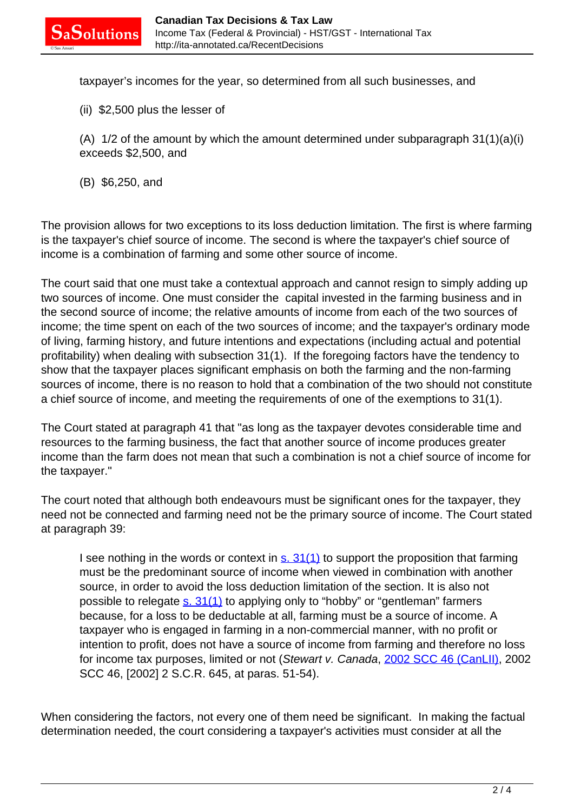taxpayer's incomes for the year, so determined from all such businesses, and

(ii) \$2,500 plus the lesser of

(A)  $1/2$  of the amount by which the amount determined under subparagraph  $31(1)(a)(i)$ exceeds \$2,500, and

(B) \$6,250, and

The provision allows for two exceptions to its loss deduction limitation. The first is where farming is the taxpayer's chief source of income. The second is where the taxpayer's chief source of income is a combination of farming and some other source of income.

The court said that one must take a contextual approach and cannot resign to simply adding up two sources of income. One must consider the capital invested in the farming business and in the second source of income; the relative amounts of income from each of the two sources of income; the time spent on each of the two sources of income; and the taxpayer's ordinary mode of living, farming history, and future intentions and expectations (including actual and potential profitability) when dealing with subsection 31(1). If the foregoing factors have the tendency to show that the taxpayer places significant emphasis on both the farming and the non-farming sources of income, there is no reason to hold that a combination of the two should not constitute a chief source of income, and meeting the requirements of one of the exemptions to 31(1).

The Court stated at paragraph 41 that "as long as the taxpayer devotes considerable time and resources to the farming business, the fact that another source of income produces greater income than the farm does not mean that such a combination is not a chief source of income for the taxpayer."

The court noted that although both endeavours must be significant ones for the taxpayer, they need not be connected and farming need not be the primary source of income. The Court stated at paragraph 39:

I see nothing in the words or context in  $s. 31(1)$  to support the proposition that farming must be the predominant source of income when viewed in combination with another source, in order to avoid the loss deduction limitation of the section. It is also not possible to relegate  $\frac{s. 31(1)}{s}$  to applying only to "hobby" or "gentleman" farmers because, for a loss to be deductable at all, farming must be a source of income. A taxpayer who is engaged in farming in a non-commercial manner, with no profit or intention to profit, does not have a source of income from farming and therefore no loss for income tax purposes, limited or not (Stewart v. Canada, [2002 SCC 46 \(CanLII\)](http://www.canlii.org/en/ca/scc/doc/2002/2002scc46/2002scc46.html), 2002 SCC 46, [2002] 2 S.C.R. 645, at paras. 51-54).

When considering the factors, not every one of them need be significant. In making the factual determination needed, the court considering a taxpayer's activities must consider at all the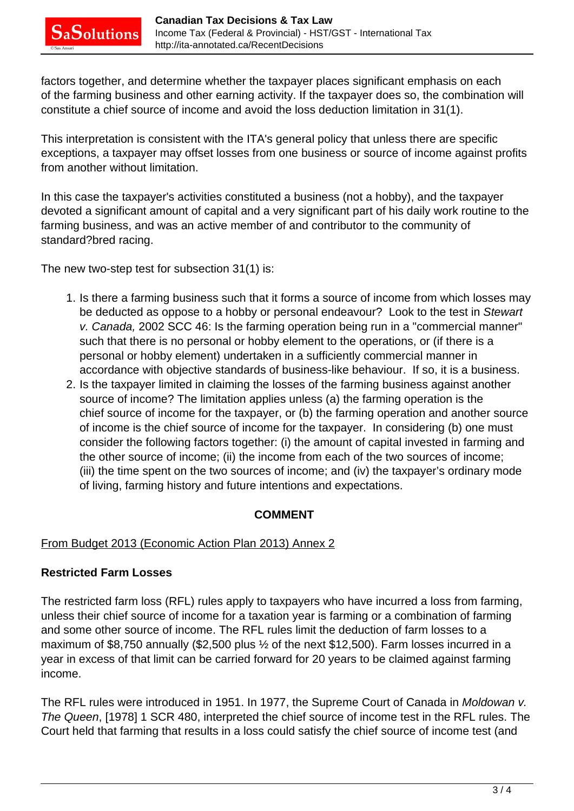

factors together, and determine whether the taxpayer places significant emphasis on each of the farming business and other earning activity. If the taxpayer does so, the combination will constitute a chief source of income and avoid the loss deduction limitation in 31(1).

This interpretation is consistent with the ITA's general policy that unless there are specific exceptions, a taxpayer may offset losses from one business or source of income against profits from another without limitation.

In this case the taxpayer's activities constituted a business (not a hobby), and the taxpayer devoted a significant amount of capital and a very significant part of his daily work routine to the farming business, and was an active member of and contributor to the community of standard?bred racing.

The new two-step test for subsection 31(1) is:

- 1. Is there a farming business such that it forms a source of income from which losses may be deducted as oppose to a hobby or personal endeavour? Look to the test in Stewart v. Canada, 2002 SCC 46: Is the farming operation being run in a "commercial manner" such that there is no personal or hobby element to the operations, or (if there is a personal or hobby element) undertaken in a sufficiently commercial manner in accordance with objective standards of business-like behaviour. If so, it is a business.
- 2. Is the taxpayer limited in claiming the losses of the farming business against another source of income? The limitation applies unless (a) the farming operation is the chief source of income for the taxpayer, or (b) the farming operation and another source of income is the chief source of income for the taxpayer. In considering (b) one must consider the following factors together: (i) the amount of capital invested in farming and the other source of income; (ii) the income from each of the two sources of income; (iii) the time spent on the two sources of income; and (iv) the taxpayer's ordinary mode of living, farming history and future intentions and expectations.

#### **COMMENT**

## From Budget 2013 (Economic Action Plan 2013) Annex 2

#### **Restricted Farm Losses**

The restricted farm loss (RFL) rules apply to taxpayers who have incurred a loss from farming, unless their chief source of income for a taxation year is farming or a combination of farming and some other source of income. The RFL rules limit the deduction of farm losses to a maximum of \$8,750 annually (\$2,500 plus ½ of the next \$12,500). Farm losses incurred in a year in excess of that limit can be carried forward for 20 years to be claimed against farming income.

The RFL rules were introduced in 1951. In 1977, the Supreme Court of Canada in Moldowan v. The Queen, [1978] 1 SCR 480, interpreted the chief source of income test in the RFL rules. The Court held that farming that results in a loss could satisfy the chief source of income test (and